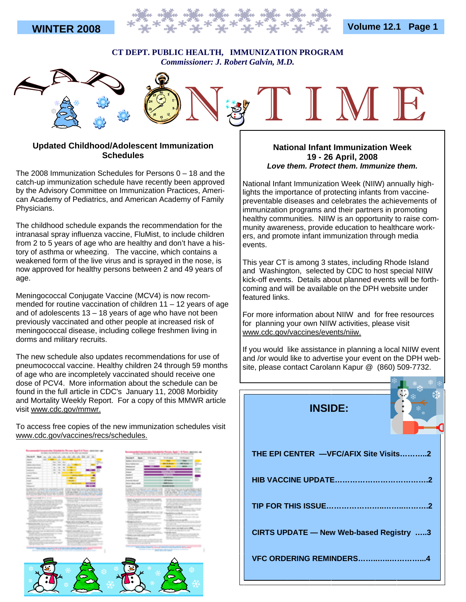



#### **CT DEPT. PUBLIC HEALTH, IMMUNIZATION PROGRAM**  *Commissioner: J. Robert Galvin, M.D.*



### **Updated Childhood/Adolescent Immunization Schedules**

The 2008 Immunization Schedules for Persons 0 – 18 and the catch-up immunization schedule have recently been approved by the Advisory Committee on Immunization Practices, American Academy of Pediatrics, and American Academy of Family Physicians.

The childhood schedule expands the recommendation for the intranasal spray influenza vaccine, FluMist, to include children from 2 to 5 years of age who are healthy and don't have a history of asthma or wheezing. The vaccine, which contains a weakened form of the live virus and is sprayed in the nose, is now approved for healthy persons between 2 and 49 years of age.

Meningococcal Conjugate Vaccine (MCV4) is now recommended for routine vaccination of children 11 – 12 years of age and of adolescents  $13 - 18$  years of age who have not been previously vaccinated and other people at increased risk of meningococcal disease, including college freshmen living in dorms and military recruits.

The new schedule also updates recommendations for use of pneumococcal vaccine. Healthy children 24 through 59 months of age who are incompletely vaccinated should receive one dose of PCV4. More information about the schedule can be found in the full article in CDC's January 11, 2008 Morbidity and Mortality Weekly Report. For a copy of this MMWR article visit www.cdc.gov/mmwr.

To access free copies of the new immunization schedules visit www.cdc.gov/vaccines/recs/schedules.



#### **National Infant Immunization Week 19 - 26 April, 2008**  *Love them. Protect them. Immunize them.*

National Infant Immunization Week (NIIW) annually highlights the importance of protecting infants from vaccinepreventable diseases and celebrates the achievements of immunization programs and their partners in promoting healthy communities. NIIW is an opportunity to raise community awareness, provide education to healthcare workers, and promote infant immunization through media events.

This year CT is among 3 states, including Rhode Island and Washington, selected by CDC to host special NIIW kick-off events. Details about planned events will be forthcoming and will be available on the DPH website under featured links.

For more information about NIIW and for free resources for planning your own NIIW activities, please visit www.cdc.gov/vaccines/events/niiw.

If you would like assistance in planning a local NIIW event and /or would like to advertise your event on the DPH website, please contact Carolann Kapur @ (860) 509-7732.

 **INSIDE:** 



| THE EPI CENTER -VFC/AFIX Site Visits2   |
|-----------------------------------------|
|                                         |
|                                         |
| CIRTS UPDATE - New Web-based Registry 3 |
| VFC ORDERING REMINDERS4                 |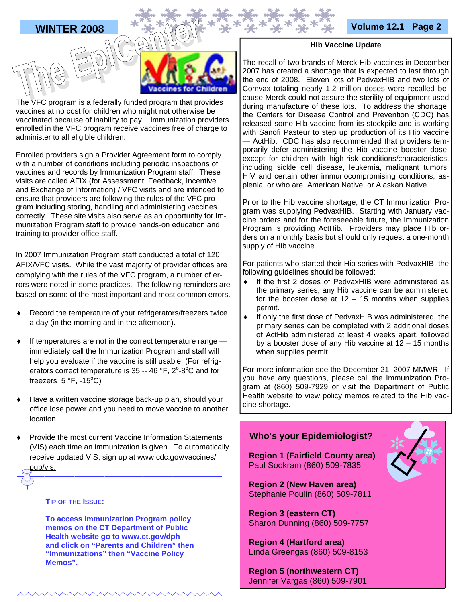



The VFC program is a federally funded program that provides vaccines at no cost for children who might not otherwise be vaccinated because of inability to pay. Immunization providers enrolled in the VFC program receive vaccines free of charge to administer to all eligible children.

Enrolled providers sign a Provider Agreement form to comply with a number of conditions including periodic inspections of vaccines and records by Immunization Program staff. These visits are called AFIX (for Assessment, Feedback, Incentive and Exchange of Information) / VFC visits and are intended to ensure that providers are following the rules of the VFC program including storing, handling and administering vaccines correctly. These site visits also serve as an opportunity for Immunization Program staff to provide hands-on education and training to provider office staff.

In 2007 Immunization Program staff conducted a total of 120 AFIX/VFC visits. While the vast majority of provider offices are complying with the rules of the VFC program, a number of errors were noted in some practices. The following reminders are based on some of the most important and most common errors.

- Record the temperature of your refrigerators/freezers twice a day (in the morning and in the afternoon).
- If temperatures are not in the correct temperature range  $$ immediately call the Immunization Program and staff will help you evaluate if the vaccine is still usable. (For refrigerators correct temperature is  $35 - 46$  °F,  $2^{\circ}$ -8°C and for freezers  $5 °F$ , -15 $°C$ )
- Have a written vaccine storage back-up plan, should your office lose power and you need to move vaccine to another location.
- Provide the most current Vaccine Information Statements (VIS) each time an immunization is given. To automatically receive updated VIS, sign up at www.cdc.gov/vaccines/ pub/vis.

#### **TIP OF THE ISSUE:**

**To access Immunization Program policy memos on the CT Department of Public Health website go to www.ct.gov/dph and click on "Parents and Children" then "Immunizations" then "Vaccine Policy Memos".** 

#### **Hib Vaccine Update**

The recall of two brands of Merck Hib vaccines in December 2007 has created a shortage that is expected to last through the end of 2008. Eleven lots of PedvaxHIB and two lots of Comvax totaling nearly 1.2 million doses were recalled because Merck could not assure the sterility of equipment used during manufacture of these lots. To address the shortage, the Centers for Disease Control and Prevention (CDC) has released some Hib vaccine from its stockpile and is working with Sanofi Pasteur to step up production of its Hib vaccine — ActHib. CDC has also recommended that providers temporarily defer administering the Hib vaccine booster dose, except for children with high-risk conditions/characteristics, including sickle cell disease, leukemia, malignant tumors, HIV and certain other immunocompromising conditions, asplenia; or who are American Native, or Alaskan Native.

Prior to the Hib vaccine shortage, the CT Immunization Program was supplying PedvaxHIB. Starting with January vaccine orders and for the foreseeable future, the Immunization Program is providing ActHib. Providers may place Hib orders on a monthly basis but should only request a one-month supply of Hib vaccine.

For patients who started their Hib series with PedvaxHIB, the following guidelines should be followed:

- If the first 2 doses of PedvaxHIB were administered as the primary series, any Hib vaccine can be administered for the booster dose at  $12 - 15$  months when supplies permit.
- If only the first dose of PedvaxHIB was administered, the primary series can be completed with 2 additional doses of ActHib administered at least 4 weeks apart, followed by a booster dose of any Hib vaccine at 12 – 15 months when supplies permit.

For more information see the December 21, 2007 MMWR. If you have any questions, please call the Immunization Program at (860) 509-7929 or visit the Department of Public Health website to view policy memos related to the Hib vaccine shortage.

# **Who's your Epidemiologist? Region 1 (Fairfield County area)**  Paul Sookram (860) 509-7835  **Region 2 (New Haven area)**  Stephanie Poulin (860) 509-7811  **Region 3 (eastern CT)**  Sharon Dunning (860) 509-7757  **Region 4 (Hartford area)**  Linda Greengas (860) 509-8153  **Region 5 (northwestern CT)**

Jennifer Vargas (860) 509-7901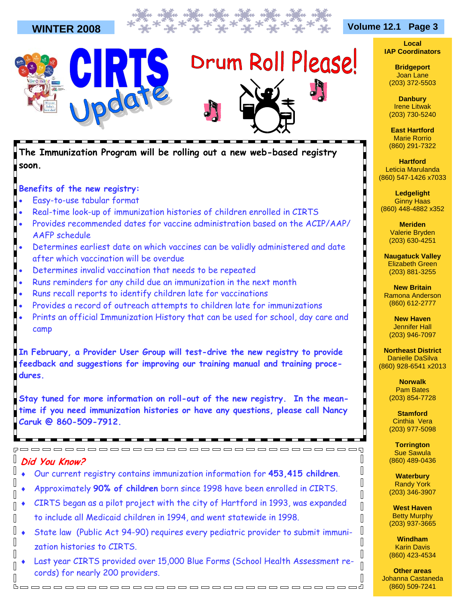

**The Immunization Program will be rolling out a new web-based registry soon.** 

## **Benefits of the new registry:**

- Easy-to-use tabular format
- Real-time look-up of immunization histories of children enrolled in CIRTS
- Provides recommended dates for vaccine administration based on the ACIP/AAP/ AAFP schedule
- Determines earliest date on which vaccines can be validly administered and date after which vaccination will be overdue
- Determines invalid vaccination that needs to be repeated
- Runs reminders for any child due an immunization in the next month
- Runs recall reports to identify children late for vaccinations
- Provides a record of outreach attempts to children late for immunizations
- Prints an official Immunization History that can be used for school, day care and camp

**In February, a Provider User Group will test-drive the new registry to provide feedback and suggestions for improving our training manual and training procedures.** 

**Stay tuned for more information on roll-out of the new registry. In the meantime if you need immunization histories or have any questions, please call Nancy Caruk @ 860-509-7912.**

#### $\mathbf{r}^{\prime}$ **Did You Know?**

 $\mathbb{I}$ 

 $\sqrt{2}$ 

 $\sqrt{2}$ 

 $\sqrt{ }$ 

 $\sqrt{ }$ 

♦ Our current registry contains immunization information for **453,415 children**.

,00000000000000000000000000000

- ♦ Approximately **90% of children** born since 1998 have been enrolled in CIRTS.
- CIRTS began as a pilot project with the city of Hartford in 1993, was expanded to include all Medicaid children in 1994, and went statewide in 1998.
- $\mathbf{r}$ State law (Public Act 94-90) requires every pediatric provider to submit immunization histories to CIRTS.
- Last year CIRTS provided over 15,000 Blue Forms (School Health Assessment records) for nearly 200 providers.  $\sqrt{ }$

booooooooooooooooooooooooooooooooo

**Local IAP Coordinators** 

> **Bridgeport**  Joan Lane (203) 372-5503

> **Danbury**  Irene Litwak (203) 730-5240

**East Hartford**  Marie Rorrio (860) 291-7322

**Hartford**  Leticia Marulanda (860) 547-1426 x7033

**Ledgelight**  Ginny Haas (860) 448-4882 x352

> **Meriden**  Valerie Bryden (203) 630-4251

**Naugatuck Valley**  Elizabeth Green (203) 881-3255

**New Britain**  Ramona Anderson (860) 612-2777

**New Haven**  Jennifer Hall (203) 946-7097

**Northeast District**  Danielle DaSilva (860) 928-6541 x2013

> **Norwalk**  Pam Bates (203) 854-7728

**Stamford**  Cinthia Vera (203) 977-5098

**Torrington**  Sue Sawula (860) 489-0436

 $\Box$ 

I  $\mathbb I$ 

 $\mathbb I$  $\overline{\mathbb{R}}$ 

 $\sqrt{2}$ 

 $\mathbb I$ 

 $\begin{bmatrix} \phantom{-} \end{bmatrix}$ 

 $\overline{\mathbb{I}}$  $\begin{bmatrix} \phantom{-} \end{bmatrix}$ 

 $\sqrt{ }$ 

 $\mathbb{I}$ 

**Waterbury**  Randy York (203) 346-3907

**West Haven**  Betty Murphy (203) 937-3665

**Windham**  Karin Davis (860) 423-4534

**Other areas**  Johanna Castaneda (860) 509-7241